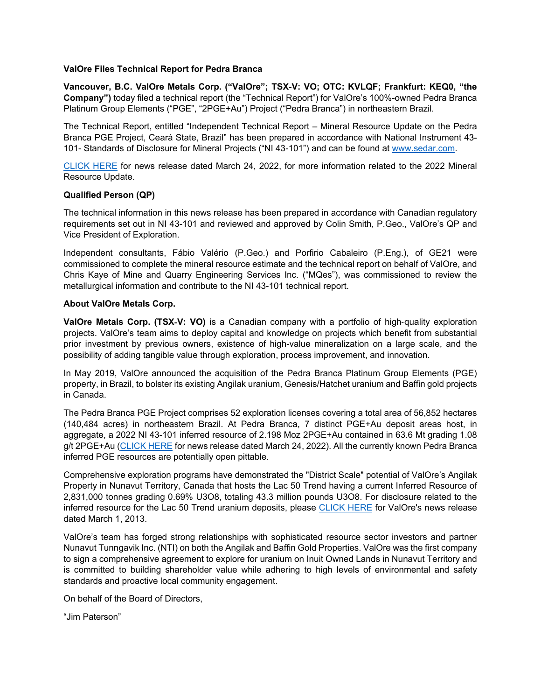## **ValOre Files Technical Report for Pedra Branca**

**Vancouver, B.C. ValOre Metals Corp. ("ValOre"; TSX**‐**V: VO; OTC: KVLQF; Frankfurt: KEQ0, "the Company")** today filed a technical report (the "Technical Report") for ValOre's 100%-owned Pedra Branca Platinum Group Elements ("PGE", "2PGE+Au") Project ("Pedra Branca") in northeastern Brazil.

The Technical Report, entitled "Independent Technical Report – Mineral Resource Update on the Pedra Branca PGE Project, Ceará State, Brazil" has been prepared in accordance with National Instrument 43- 101- Standards of Disclosure for Mineral Projects ("NI 43-101") and can be found at www.sedar.com.

CLICK HERE for news release dated March 24, 2022, for more information related to the 2022 Mineral Resource Update.

## **Qualified Person (QP)**

The technical information in this news release has been prepared in accordance with Canadian regulatory requirements set out in NI 43-101 and reviewed and approved by Colin Smith, P.Geo., ValOre's QP and Vice President of Exploration.

Independent consultants, Fábio Valério (P.Geo.) and Porfirio Cabaleiro (P.Eng.), of GE21 were commissioned to complete the mineral resource estimate and the technical report on behalf of ValOre, and Chris Kaye of Mine and Quarry Engineering Services Inc. ("MQes"), was commissioned to review the metallurgical information and contribute to the NI 43-101 technical report.

## **About ValOre Metals Corp.**

**ValOre Metals Corp. (TSX**‐**V: VO)** is a Canadian company with a portfolio of high‐quality exploration projects. ValOre's team aims to deploy capital and knowledge on projects which benefit from substantial prior investment by previous owners, existence of high-value mineralization on a large scale, and the possibility of adding tangible value through exploration, process improvement, and innovation.

In May 2019, ValOre announced the acquisition of the Pedra Branca Platinum Group Elements (PGE) property, in Brazil, to bolster its existing Angilak uranium, Genesis/Hatchet uranium and Baffin gold projects in Canada.

The Pedra Branca PGE Project comprises 52 exploration licenses covering a total area of 56,852 hectares (140,484 acres) in northeastern Brazil. At Pedra Branca, 7 distinct PGE+Au deposit areas host, in aggregate, a 2022 NI 43-101 inferred resource of 2.198 Moz 2PGE+Au contained in 63.6 Mt grading 1.08 g/t 2PGE+Au (CLICK HERE for news release dated March 24, 2022). All the currently known Pedra Branca inferred PGE resources are potentially open pittable.

Comprehensive exploration programs have demonstrated the "District Scale" potential of ValOre's Angilak Property in Nunavut Territory, Canada that hosts the Lac 50 Trend having a current Inferred Resource of 2,831,000 tonnes grading 0.69% U3O8, totaling 43.3 million pounds U3O8. For disclosure related to the inferred resource for the Lac 50 Trend uranium deposits, please CLICK HERE for ValOre's news release dated March 1, 2013.

ValOre's team has forged strong relationships with sophisticated resource sector investors and partner Nunavut Tunngavik Inc. (NTI) on both the Angilak and Baffin Gold Properties. ValOre was the first company to sign a comprehensive agreement to explore for uranium on Inuit Owned Lands in Nunavut Territory and is committed to building shareholder value while adhering to high levels of environmental and safety standards and proactive local community engagement.

On behalf of the Board of Directors,

"Jim Paterson"